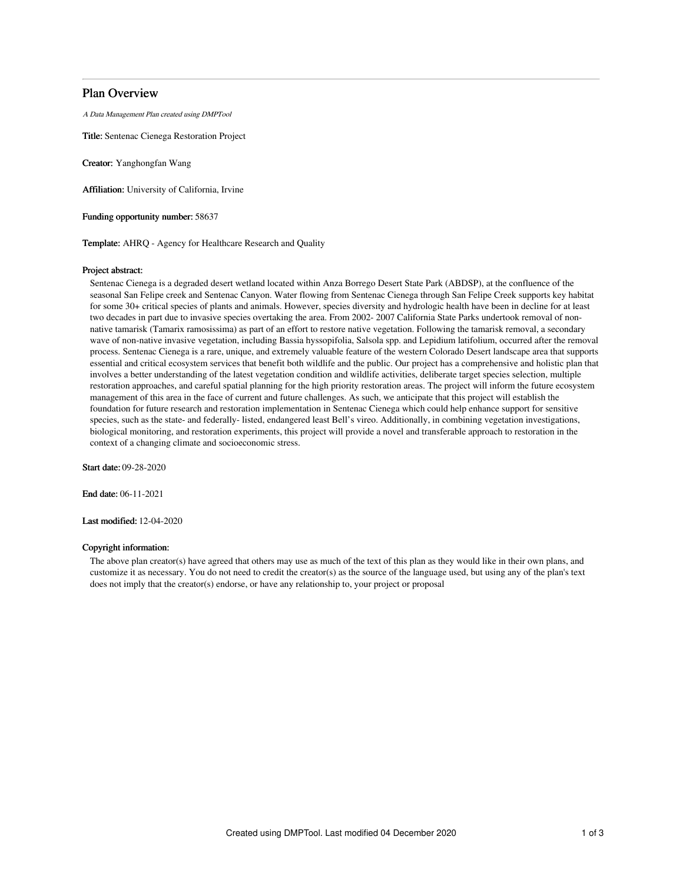# Plan Overview

A Data Management Plan created using DMPTool

Title: Sentenac Cienega Restoration Project

Creator: Yanghongfan Wang

Affiliation: University of California, Irvine

Funding opportunity number: 58637

Template: AHRQ - Agency for Healthcare Research and Quality

## Project abstract:

Sentenac Cienega is a degraded desert wetland located within Anza Borrego Desert State Park (ABDSP), at the confluence of the seasonal San Felipe creek and Sentenac Canyon. Water flowing from Sentenac Cienega through San Felipe Creek supports key habitat for some 30+ critical species of plants and animals. However, species diversity and hydrologic health have been in decline for at least two decades in part due to invasive species overtaking the area. From 2002- 2007 California State Parks undertook removal of nonnative tamarisk (Tamarix ramosissima) as part of an effort to restore native vegetation. Following the tamarisk removal, a secondary wave of non-native invasive vegetation, including Bassia hyssopifolia, Salsola spp. and Lepidium latifolium, occurred after the removal process. Sentenac Cienega is a rare, unique, and extremely valuable feature of the western Colorado Desert landscape area that supports essential and critical ecosystem services that benefit both wildlife and the public. Our project has a comprehensive and holistic plan that involves a better understanding of the latest vegetation condition and wildlife activities, deliberate target species selection, multiple restoration approaches, and careful spatial planning for the high priority restoration areas. The project will inform the future ecosystem management of this area in the face of current and future challenges. As such, we anticipate that this project will establish the foundation for future research and restoration implementation in Sentenac Cienega which could help enhance support for sensitive species, such as the state- and federally- listed, endangered least Bell's vireo. Additionally, in combining vegetation investigations, biological monitoring, and restoration experiments, this project will provide a novel and transferable approach to restoration in the context of a changing climate and socioeconomic stress.

Start date: 09-28-2020

End date: 06-11-2021

Last modified: 12-04-2020

## Copyright information:

The above plan creator(s) have agreed that others may use as much of the text of this plan as they would like in their own plans, and customize it as necessary. You do not need to credit the creator(s) as the source of the language used, but using any of the plan's text does not imply that the creator(s) endorse, or have any relationship to, your project or proposal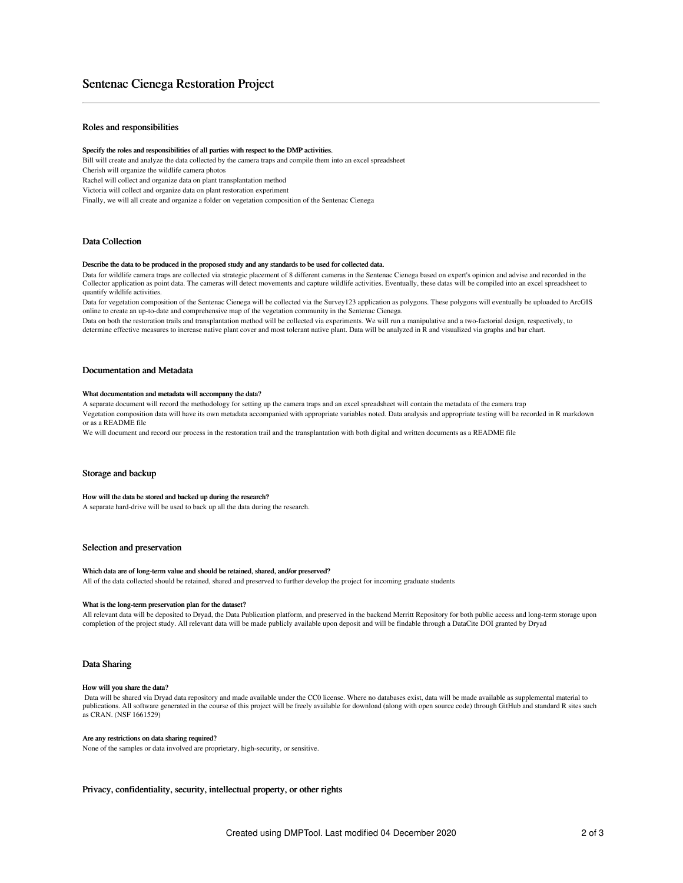# Sentenac Cienega Restoration Project

# Roles and responsibilities

#### Specify the roles and responsibilities of all parties with respect to the DMP activities.

Bill will create and analyze the data collected by the camera traps and compile them into an excel spreadsheet

Cherish will organize the wildlife camera photos

Rachel will collect and organize data on plant transplantation method

Victoria will collect and organize data on plant restoration experiment

Finally, we will all create and organize a folder on vegetation composition of the Sentenac Cienega

## Data Collection

#### Describe the data to be produced in the proposed study and any standards to be used for collected data.

Data for wildlife camera traps are collected via strategic placement of 8 different cameras in the Sentenac Cienega based on expert's opinion and advise and recorded in the Collector application as point data. The cameras will detect movements and capture wildlife activities. Eventually, these datas will be compiled into an excel spreadsheet to quantify wildlife activities.

Data for vegetation composition of the Sentenac Cienega will be collected via the Survey123 application as polygons. These polygons will eventually be uploaded to ArcGIS online to create an up-to-date and comprehensive map of the vegetation community in the Sentenac Cienega.

Data on both the restoration trails and transplantation method will be collected via experiments. We will run a manipulative and a two-factorial design, respectively, to determine effective measures to increase native plant cover and most tolerant native plant. Data will be analyzed in R and visualized via graphs and bar chart.

## Documentation and Metadata

#### What documentation and metadata will accompany the data?

A separate document will record the methodology for setting up the camera traps and an excel spreadsheet will contain the metadata of the camera trap Vegetation composition data will have its own metadata accompanied with appropriate variables noted. Data analysis and appropriate testing will be recorded in R markdown or as a README file

We will document and record our process in the restoration trail and the transplantation with both digital and written documents as a README file

## Storage and backup

#### How will the data be stored and backed up during the research?

A separate hard-drive will be used to back up all the data during the research.

### Selection and preservation

#### Which data are of long-term value and should be retained, shared, and/or preserved?

All of the data collected should be retained, shared and preserved to further develop the project for incoming graduate students

## What is the long-term preservation plan for the dataset?

All relevant data will be deposited to Dryad, the Data Publication platform, and preserved in the backend Merritt Repository for both public access and long-term storage upon completion of the project study. All relevant data will be made publicly available upon deposit and will be findable through a DataCite DOI granted by Dryad

### Data Sharing

#### How will you share the data?

Data will be shared via Dryad data repository and made available under the CC0 license. Where no databases exist, data will be made available as supplemental material to publications. All software generated in the course of this project will be freely available for download (along with open source code) through GitHub and standard R sites such as CRAN. (NSF 1661529)

#### Are any restrictions on data sharing required?

None of the samples or data involved are proprietary, high-security, or sensitive.

Privacy, confidentiality, security, intellectual property, or other rights